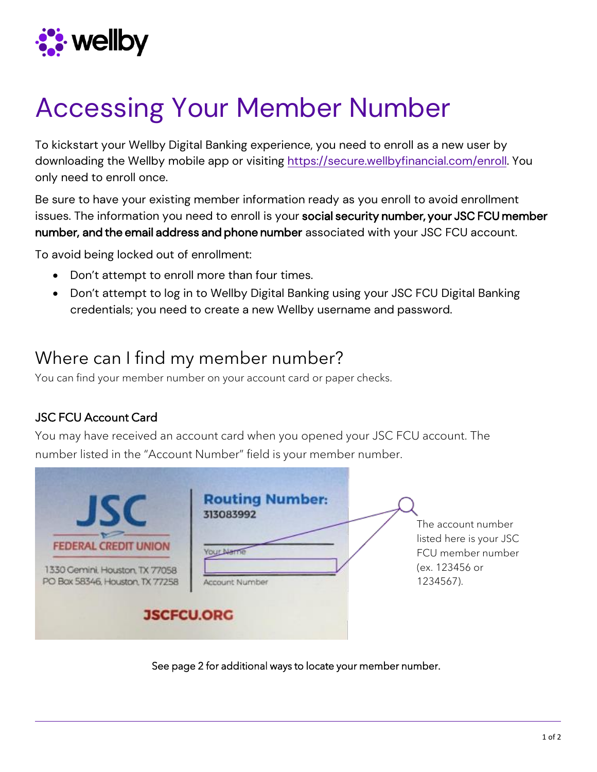

## Accessing Your Member Number

To kickstart your Wellby Digital Banking experience, you need to enroll as a new user by downloading the Wellby mobile app or visiting [https://secure.wellbyfinancial.com/enroll.](https://secure.wellbyfinancial.com/enroll) You only need to enroll once.

Be sure to have your existing member information ready as you enroll to avoid enrollment issues. The information you need to enroll is your social security number, your JSC FCU member number, and the email address and phone number associated with your JSC FCU account.

To avoid being locked out of enrollment:

- Don't attempt to enroll more than four times.
- Don't attempt to log in to Wellby Digital Banking using your JSC FCU Digital Banking credentials; you need to create a new Wellby username and password.

## Where can I find my member number?

You can find your member number on your account card or paper checks.

## JSC FCU Account Card

You may have received an account card when you opened your JSC FCU account. The number listed in the "Account Number" field is your member number.

| <b>FEDERAL CREDIT UNION</b><br>1330 Cemini, Houston, TX 77058<br>PO Box 58346, Houston, TX 77258 | <b>Routing Number:</b><br>313083992<br>Account Number | The account number<br>listed here is your JSC<br>FCU member number<br>(ex. 123456 or<br>1234567). |
|--------------------------------------------------------------------------------------------------|-------------------------------------------------------|---------------------------------------------------------------------------------------------------|
| <b>JSCFCU.ORG</b>                                                                                |                                                       |                                                                                                   |

See page 2 for additional ways to locate your member number.